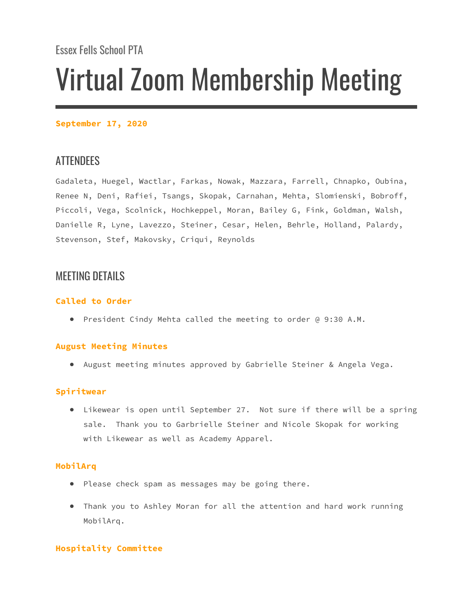**September 17, 2020**

# ATTENDEES

Gadaleta, Huegel, Wactlar, Farkas, Nowak, Mazzara, Farrell, Chnapko, Oubina, Renee N, Deni, Rafiei, Tsangs, Skopak, Carnahan, Mehta, Slomienski, Bobroff, Piccoli, Vega, Scolnick, Hochkeppel, Moran, Bailey G, Fink, Goldman, Walsh, Danielle R, Lyne, Lavezzo, Steiner, Cesar, Helen, Behrle, Holland, Palardy, Stevenson, Stef, Makovsky, Criqui, Reynolds

# MEETING DETAILS

# **Called to Order**

● President Cindy Mehta called the meeting to order @ 9:30 A.M.

# **August Meeting Minutes**

● August meeting minutes approved by Gabrielle Steiner & Angela Vega.

# **Spiritwear**

● Likewear is open until September 27. Not sure if there will be a spring sale. Thank you to Garbrielle Steiner and Nicole Skopak for working with Likewear as well as Academy Apparel.

# **MobilArq**

- Please check spam as messages may be going there.
- Thank you to Ashley Moran for all the attention and hard work running MobilArq.

# **Hospitality Committee**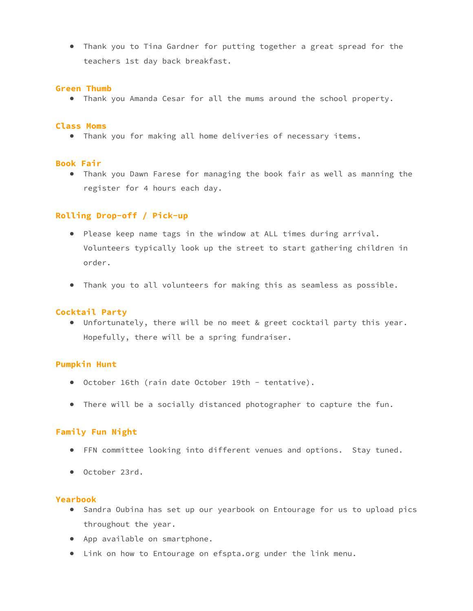● Thank you to Tina Gardner for putting together a great spread for the teachers 1st day back breakfast.

## **Green Thumb**

● Thank you Amanda Cesar for all the mums around the school property.

#### **Class Moms**

● Thank you for making all home deliveries of necessary items.

#### **Book Fair**

● Thank you Dawn Farese for managing the book fair as well as manning the register for 4 hours each day.

## **Rolling Drop-off / Pick-up**

- Please keep name tags in the window at ALL times during arrival. Volunteers typically look up the street to start gathering children in order.
- Thank you to all volunteers for making this as seamless as possible.

#### **Cocktail Party**

● Unfortunately, there will be no meet & greet cocktail party this year. Hopefully, there will be a spring fundraiser.

# **Pumpkin Hunt**

- October 16th (rain date October 19th tentative).
- There will be a socially distanced photographer to capture the fun.

## **Family Fun Night**

- FFN committee looking into different venues and options. Stay tuned.
- October 23rd.

#### **Yearbook**

- Sandra Oubina has set up our yearbook on Entourage for us to upload pics throughout the year.
- App available on smartphone.
- Link on how to Entourage on efspta.org under the link menu.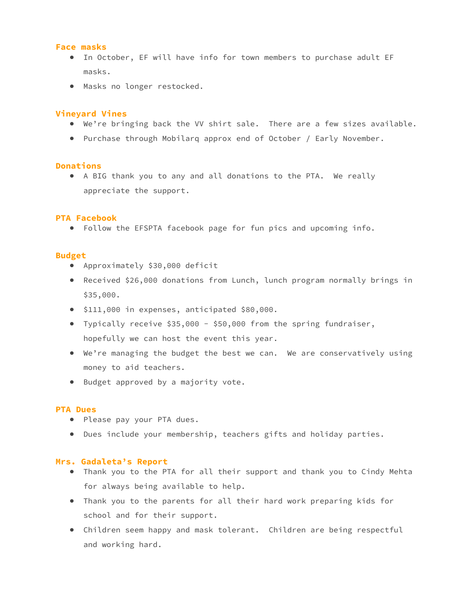## **Face masks**

- In October, EF will have info for town members to purchase adult EF masks.
- Masks no longer restocked.

### **Vineyard Vines**

- We're bringing back the VV shirt sale. There are a few sizes available.
- Purchase through Mobilarq approx end of October / Early November.

#### **Donations**

● A BIG thank you to any and all donations to the PTA. We really appreciate the support.

#### **PTA Facebook**

● Follow the EFSPTA facebook page for fun pics and upcoming info.

## **Budget**

- Approximately \$30,000 deficit
- Received \$26,000 donations from Lunch, lunch program normally brings in \$35,000.
- \$111,000 in expenses, anticipated \$80,000.
- Typically receive \$35,000 \$50,000 from the spring fundraiser, hopefully we can host the event this year.
- We're managing the budget the best we can. We are conservatively using money to aid teachers.
- Budget approved by a majority vote.

#### **PTA Dues**

- Please pay your PTA dues.
- Dues include your membership, teachers gifts and holiday parties.

#### **Mrs. Gadaleta's Report**

- Thank you to the PTA for all their support and thank you to Cindy Mehta for always being available to help.
- Thank you to the parents for all their hard work preparing kids for school and for their support.
- Children seem happy and mask tolerant. Children are being respectful and working hard.